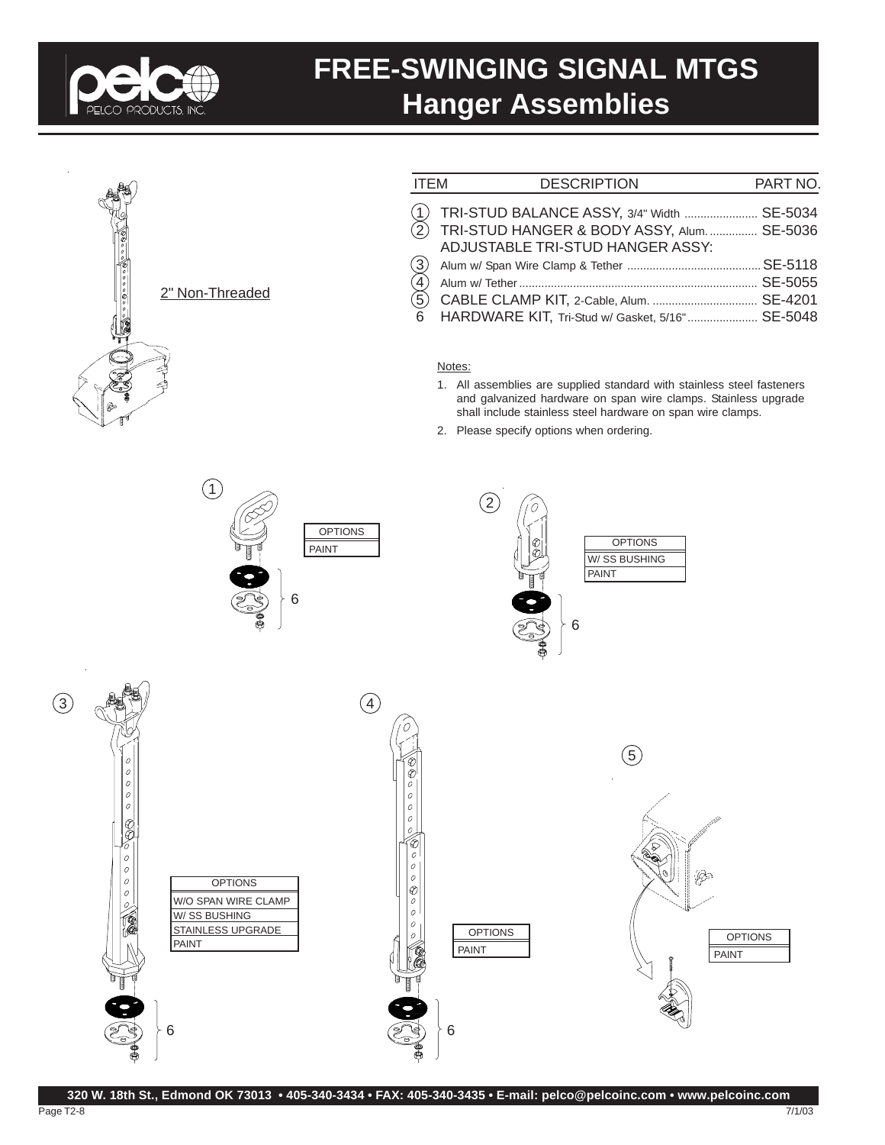

### **FREE-SWINGING SIGNAL MTGS Hanger Assemblies**



 $\bigcap$ 

| <b>ITEM</b>            | <b>DESCRIPTION</b>                                                                                                              | PART NO. |
|------------------------|---------------------------------------------------------------------------------------------------------------------------------|----------|
|                        | TRI-STUD BALANCE ASSY, 3/4" Width  SE-5034<br>(2) TRI-STUD HANGER & BODY ASSY, Alum SE-5036<br>ADJUSTABLE TRI-STUD HANGER ASSY: |          |
| (3)<br>$\widetilde{4}$ |                                                                                                                                 |          |
| $\widehat{5}$<br>- 6   | CABLE CLAMP KIT, 2-Cable, Alum.  SE-4201<br>HARDWARE KIT, Tri-Stud w/ Gasket, 5/16" SE-5048                                     |          |

#### Notes:

- 1. All assemblies are supplied standard with stainless steel fasteners and galvanized hardware on span wire clamps. Stainless upgrade shall include stainless steel hardware on span wire clamps.
- 2. Please specify options when ordering.





**OPTIONS** 

6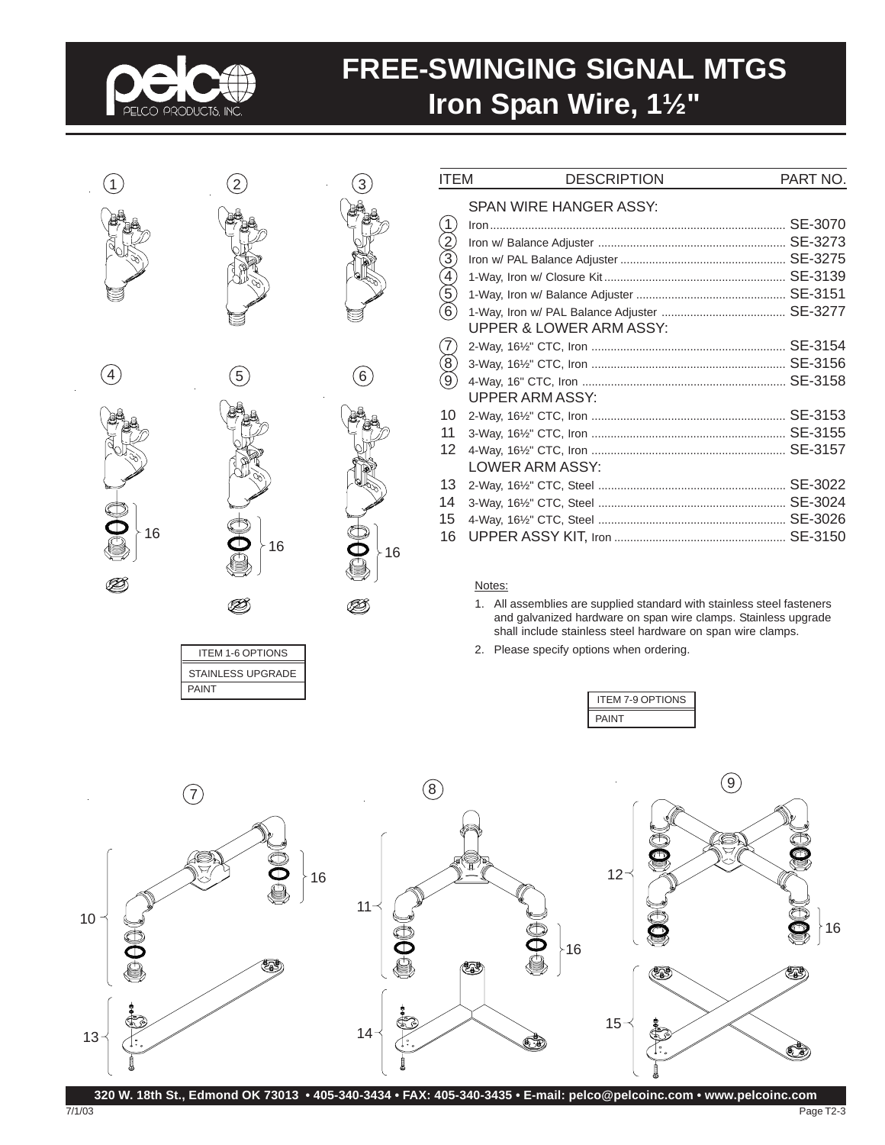

# **FREE-SWINGING SIGNAL MTGS Iron Span Wire, 1½"**







PAINT

ITEM 1-6 OPTIONS STAINLESS UPGRADE

Ø,

7/1/03



|                                         | SPAN WIRE HANGER ASSY:             |  |
|-----------------------------------------|------------------------------------|--|
|                                         |                                    |  |
| (1)<br>(2)<br>(3)<br>(5)<br>(6)         |                                    |  |
|                                         |                                    |  |
|                                         |                                    |  |
|                                         |                                    |  |
|                                         |                                    |  |
|                                         | <b>UPPER &amp; LOWER ARM ASSY:</b> |  |
| $\begin{matrix} 7 \ 8 \ 9 \end{matrix}$ |                                    |  |
|                                         |                                    |  |
|                                         |                                    |  |
|                                         | UPPER ARM ASSY:                    |  |
| 10                                      |                                    |  |
| 11                                      |                                    |  |
| 12                                      |                                    |  |
|                                         | LOWER ARM ASSY:                    |  |
| 13                                      |                                    |  |
| 14                                      |                                    |  |
| 15                                      |                                    |  |
| 16                                      |                                    |  |

ITEM DESCRIPTION PART NO.

#### Notes:

- 1. All assemblies are supplied standard with stainless steel fasteners and galvanized hardware on span wire clamps. Stainless upgrade shall include stainless steel hardware on span wire clamps.
- 2. Please specify options when ordering.





**320 W. 18th St., Edmond OK 73013 • 405-340-3434 • FAX: 405-340-3435 • E-mail: pelco@pelcoinc.com • www.pelcoinc.com**

Page T2-3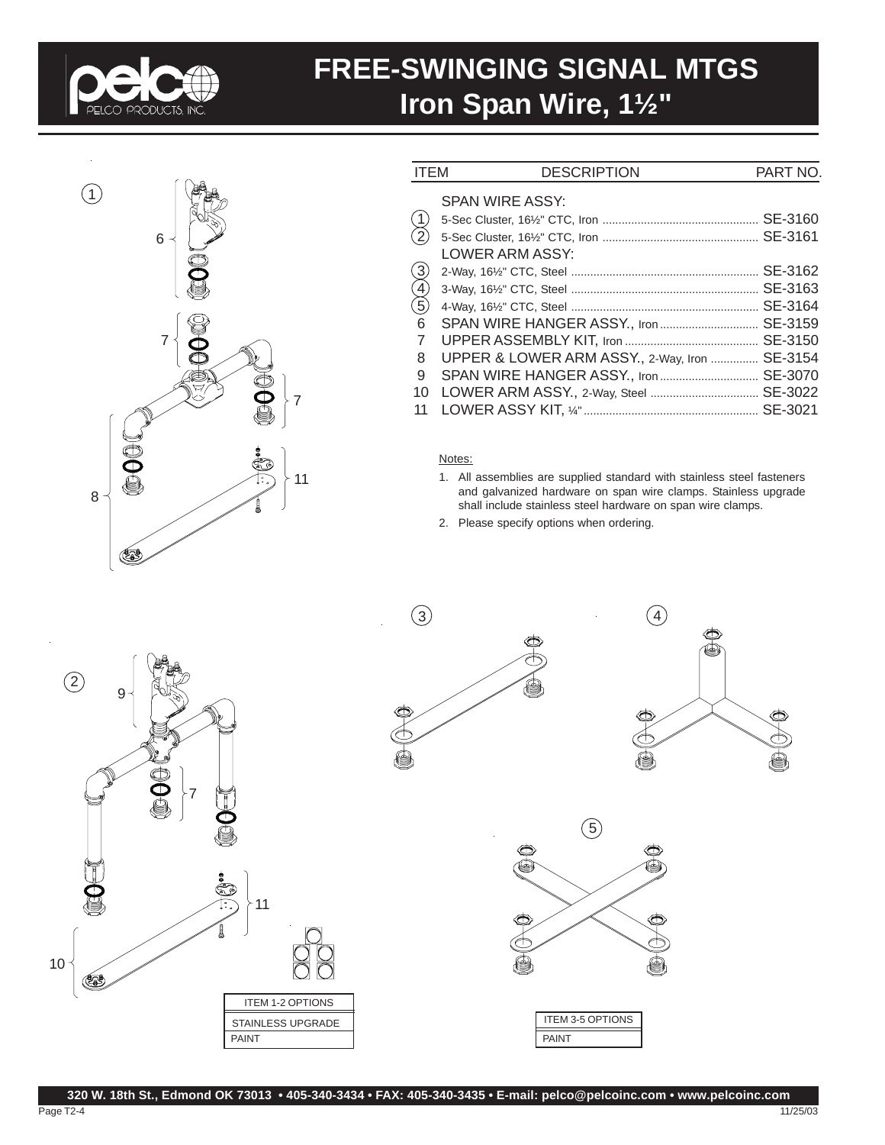

## **FREE-SWINGING SIGNAL MTGS Iron Span Wire, 1½"**



| <b>ITEM</b>                                              | <b>DESCRIPTION</b>                   | PART NO. |
|----------------------------------------------------------|--------------------------------------|----------|
|                                                          | <b>SPAN WIRE ASSY:</b>               |          |
| $\left( \begin{smallmatrix} 1 \end{smallmatrix} \right)$ |                                      | SE-3160  |
| $\sqrt{2}$                                               |                                      |          |
|                                                          | LOWER ARM ASSY:                      |          |
|                                                          |                                      | SE-3162  |
| 3<br>4<br>5                                              |                                      | SE-3163  |
|                                                          |                                      | SE-3164  |
| 6                                                        |                                      | SE-3159  |
| 7                                                        |                                      | SE-3150  |
| 8                                                        | UPPER & LOWER ARM ASSY., 2-Way, Iron | SE-3154  |
| 9                                                        |                                      | SE-3070  |
| 10                                                       |                                      | SE-3022  |
| 11                                                       |                                      | SE-3021  |
|                                                          |                                      |          |

#### Notes:

- 1. All assemblies are supplied standard with stainless steel fasteners and galvanized hardware on span wire clamps. Stainless upgrade shall include stainless steel hardware on span wire clamps.
- 2. Please specify options when ordering.









PAINT ITEM 3-5 OPTIONS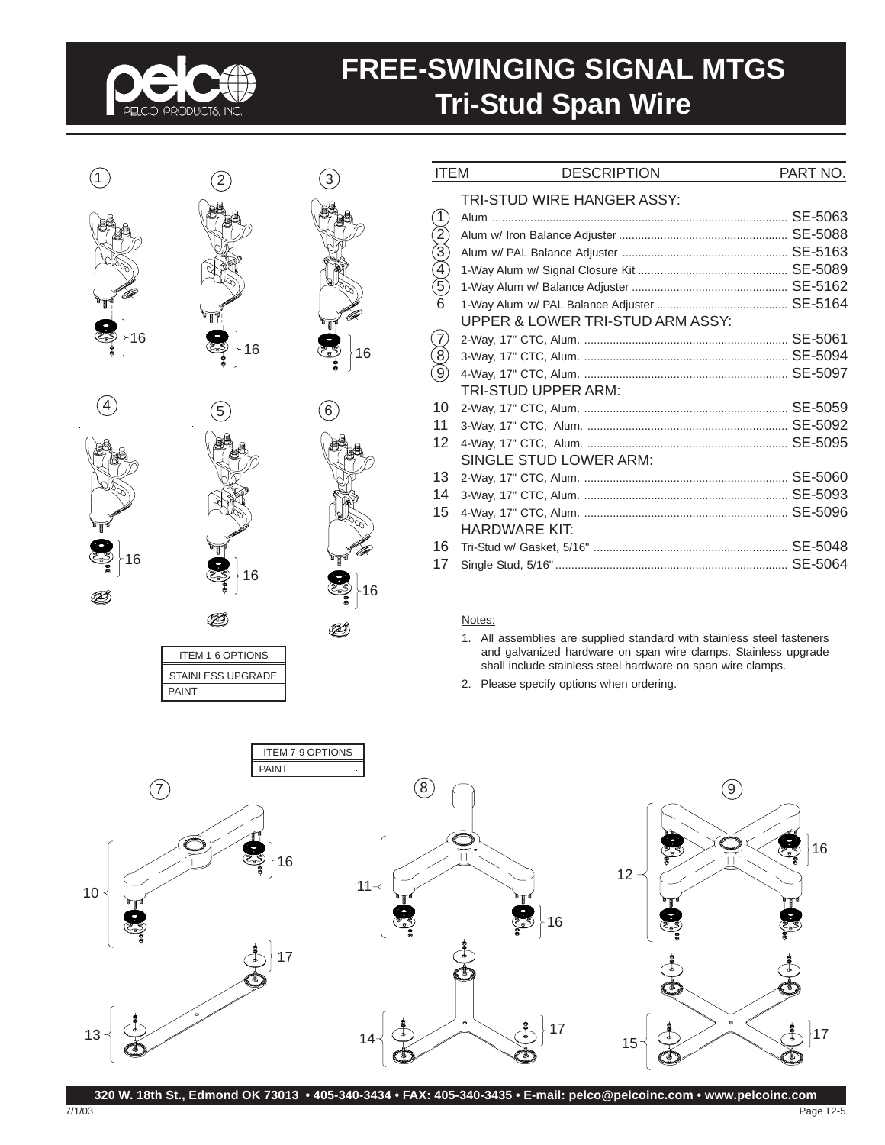

B

PAINT

ITEM 1-6 OPTIONS STAINLESS UPGRADE

## **FREE-SWINGING SIGNAL MTGS Tri-Stud Span Wire**

|     |    |    | <b>ITEM</b>                                                           | <b>DESCRIPTION</b>                                                     | PART NO. |
|-----|----|----|-----------------------------------------------------------------------|------------------------------------------------------------------------|----------|
| 16  |    |    | (2)<br>$\widetilde{3}$<br>$\left( 4\right)$<br>$\left( 5\right)$<br>6 | TRI-STUD WIRE HANGER ASSY:<br>UPPER & LOWER TRI-STUD ARM ASSY:         |          |
|     | 16 | 16 | $\left( 8\right)$<br>$\left(9\right)$                                 | TRI-STUD UPPER ARM:                                                    |          |
| (4) | 5  | 6  | 10                                                                    |                                                                        |          |
|     |    |    | 11<br>12                                                              | SINGLE STUD LOWER ARM:                                                 |          |
|     |    |    | 13                                                                    |                                                                        |          |
|     |    |    | 14                                                                    |                                                                        |          |
|     |    |    | 15                                                                    | <b>HARDWARE KIT:</b>                                                   |          |
|     |    |    | 16                                                                    |                                                                        |          |
| 16  | 16 | 16 | 17                                                                    |                                                                        |          |
|     |    |    |                                                                       | Notes:                                                                 |          |
|     |    |    |                                                                       | 1. All assemblies are supplied standard with stainless steel fasteners |          |

nless steel fasteners and galvanized hardware on span wire clamps. Stainless upgrade shall include stainless steel hardware on span wire clamps.

2. Please specify options when ordering.

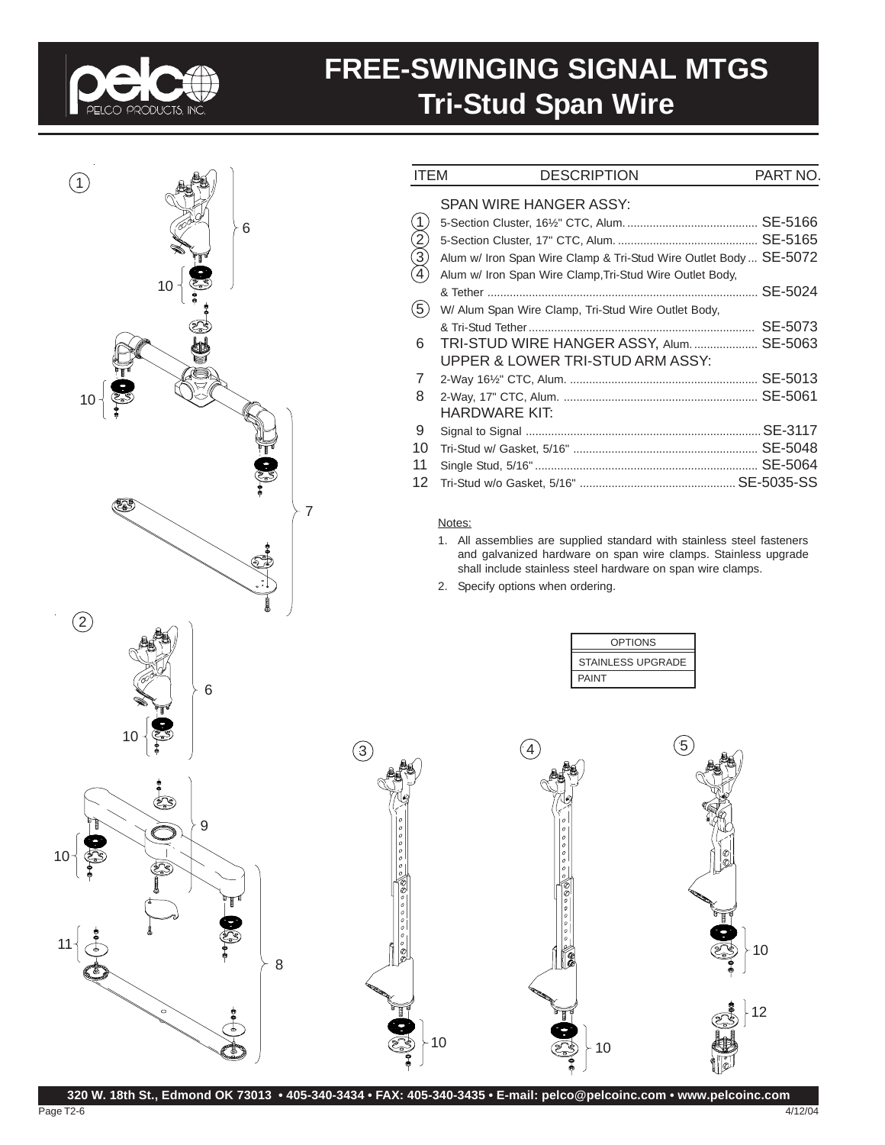

Page T2-6

## **FREE-SWINGING SIGNAL MTGS Tri-Stud Span Wire**



12

10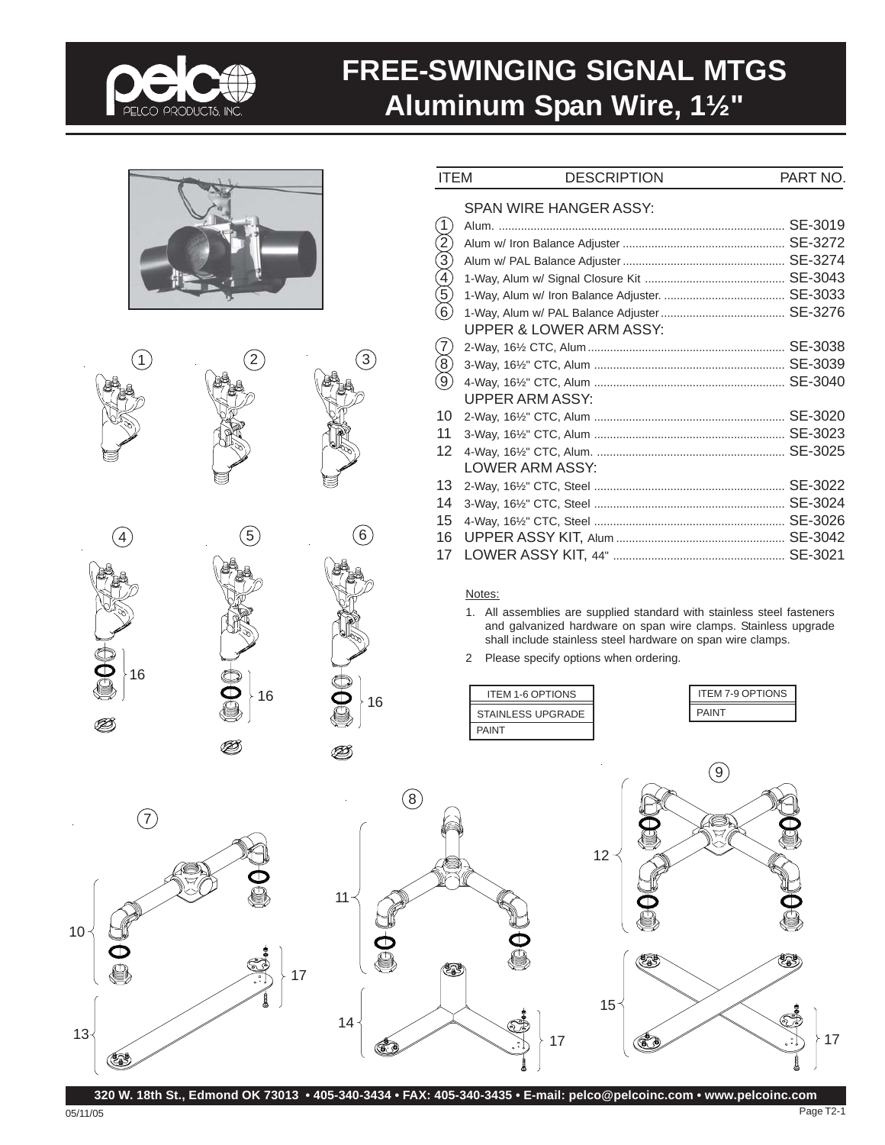

### **FREE-SWINGING SIGNAL MTGS Aluminum Span Wire, 1½"**





4 5 16 <sup>16</sup> <sup>16</sup>

05/11/05

 $\circled{6}$ 

 $\circled3$ 

| <b>ITEM</b>                               | <b>DESCRIPTION</b>                 | PART NO. |
|-------------------------------------------|------------------------------------|----------|
|                                           | SPAN WIRE HANGER ASSY:             |          |
|                                           |                                    |          |
|                                           |                                    |          |
|                                           |                                    |          |
|                                           |                                    |          |
| $\frac{1}{2}$<br>$\frac{3}{4}$            |                                    |          |
| $\widetilde{6}$                           |                                    |          |
|                                           | <b>UPPER &amp; LOWER ARM ASSY:</b> |          |
|                                           |                                    |          |
|                                           |                                    |          |
| $\begin{pmatrix} 7 \ 8 \ 9 \end{pmatrix}$ |                                    |          |
|                                           | <b>UPPER ARM ASSY:</b>             |          |
| 10                                        |                                    |          |
| 11                                        |                                    |          |
| 12 <sup>2</sup>                           |                                    |          |
|                                           | LOWER ARM ASSY:                    |          |
| 13                                        |                                    |          |
| 14                                        |                                    |          |
| 15                                        |                                    |          |
| 16                                        |                                    |          |
| 17                                        |                                    |          |

Notes:

- 1. All assemblies are supplied standard with stainless steel fasteners and galvanized hardware on span wire clamps. Stainless upgrade shall include stainless steel hardware on span wire clamps.
- 2 Please specify options when ordering.





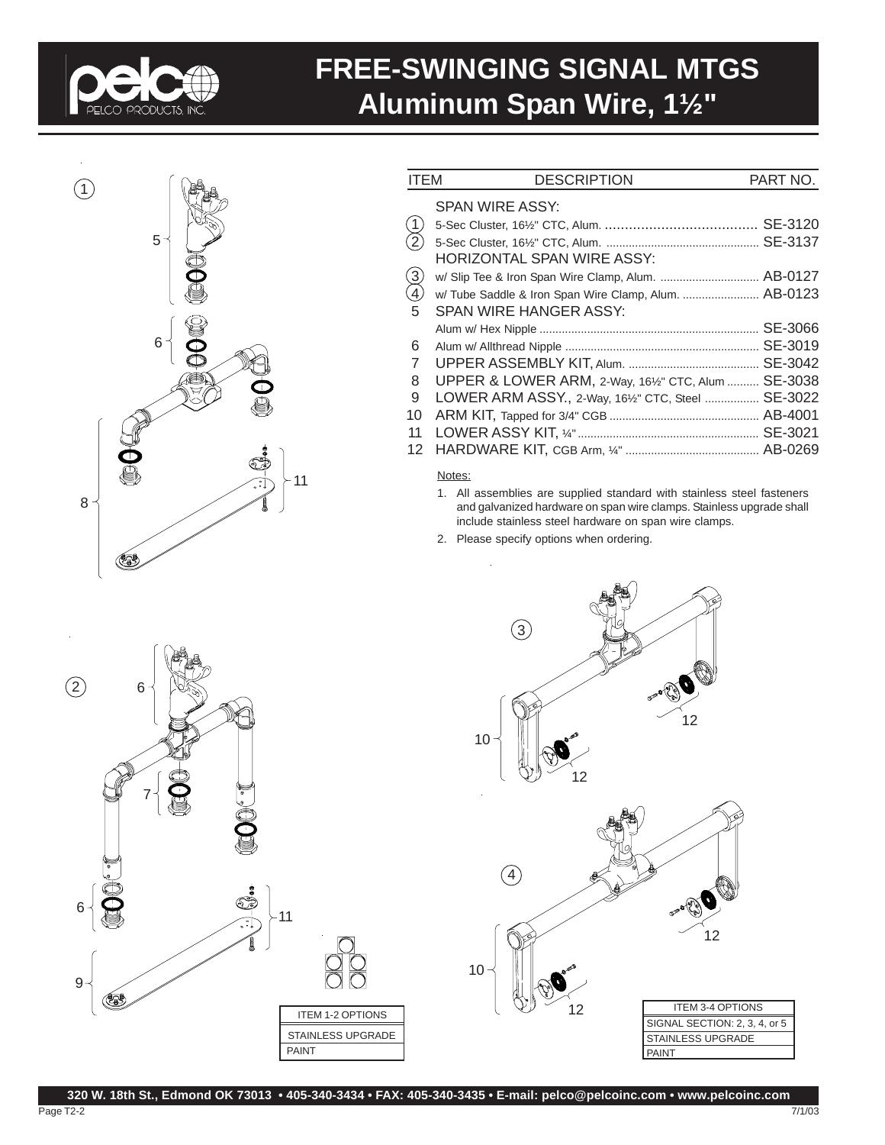

# **FREE-SWINGING SIGNAL MTGS Aluminum Span Wire, 1½"**



| <b>ITEM</b>                         | <b>DESCRIPTION</b>                                   | PART NO. |
|-------------------------------------|------------------------------------------------------|----------|
|                                     | SPAN WIRE ASSY:                                      |          |
| $\hat{A}$                           |                                                      | SE-3120  |
| $\widetilde{2}$                     |                                                      |          |
|                                     | HORIZONTAL SPAN WIRE ASSY:                           |          |
|                                     | w/ Slip Tee & Iron Span Wire Clamp, Alum.  AB-0127   |          |
| $\begin{matrix} 3 \ 4 \end{matrix}$ | w/Tube Saddle & Iron Span Wire Clamp, Alum.  AB-0123 |          |
| 5                                   | SPAN WIRE HANGER ASSY:                               |          |
|                                     |                                                      | SE-3066  |
| 6                                   |                                                      | SE-3019  |
| 7                                   |                                                      | SE-3042  |
| 8                                   | UPPER & LOWER ARM, 2-Way, 161/2" CTC, Alum           | SE-3038  |
| 9                                   | LOWER ARM ASSY., 2-Way, 161/2" CTC, Steel            | SE-3022  |
| 10                                  |                                                      |          |
| 11                                  |                                                      | SE-3021  |
| 12                                  |                                                      |          |

#### Notes:

- 1. All assemblies are supplied standard with stainless steel fasteners and galvanized hardware on span wire clamps. Stainless upgrade shall include stainless steel hardware on span wire clamps.
- 2. Please specify options when ordering.

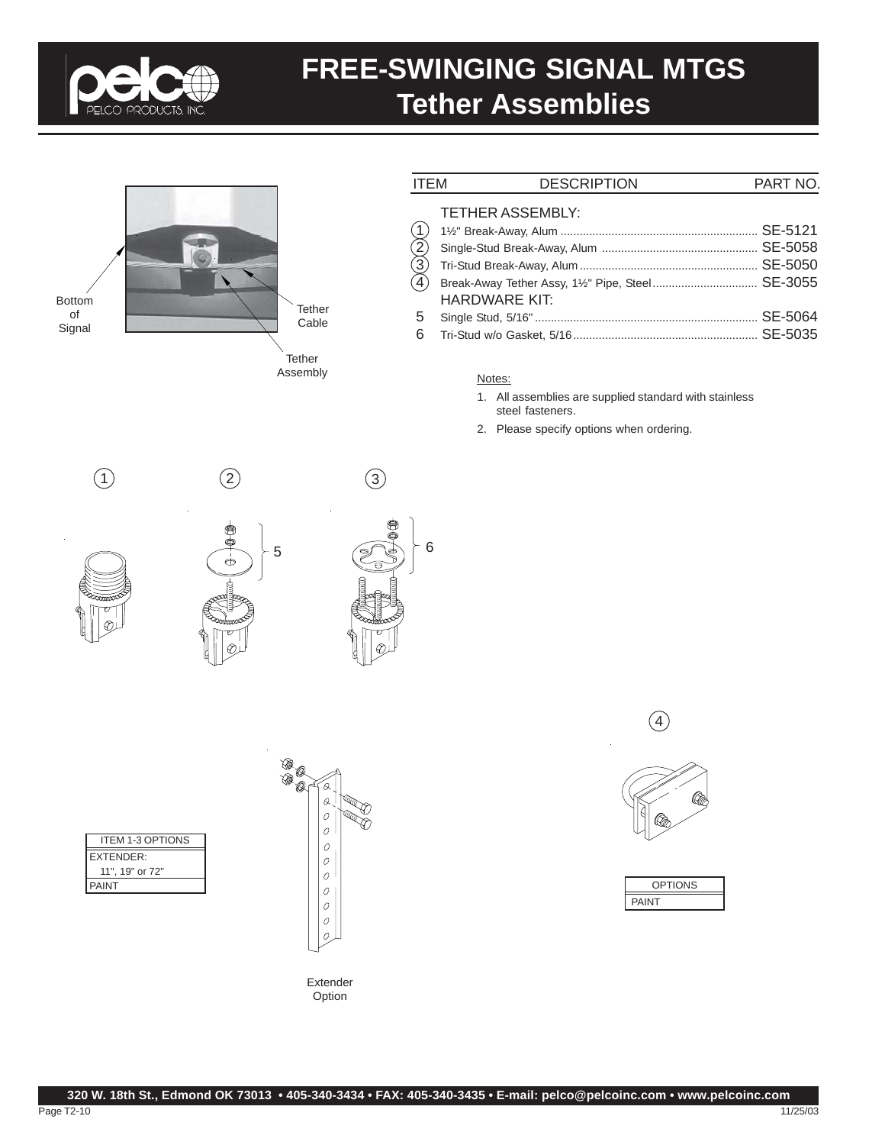

## **FREE-SWINGING SIGNAL MTGS Tether Assemblies**



| <b>ITEM</b>                                 | <b>DESCRIPTION</b>                              | PART NO. |
|---------------------------------------------|-------------------------------------------------|----------|
| $\begin{pmatrix} 1 \\ 2 \\ 4 \end{pmatrix}$ | <b>TETHER ASSEMBLY:</b><br><b>HARDWARE KIT:</b> |          |
| 5                                           |                                                 |          |
| 6                                           |                                                 |          |

#### Notes:

- 1. All assemblies are supplied standard with stainless steel fasteners.
- 2. Please specify options when ordering.







| <b>ITEM 1-3 OPTIONS</b> |
|-------------------------|
| <b>EXTENDER:</b>        |
| 11". 19" or 72"         |
| PAINT                   |





 $\circled{4}$ 



| l<br>PTION |  |
|------------|--|
| PAINT      |  |